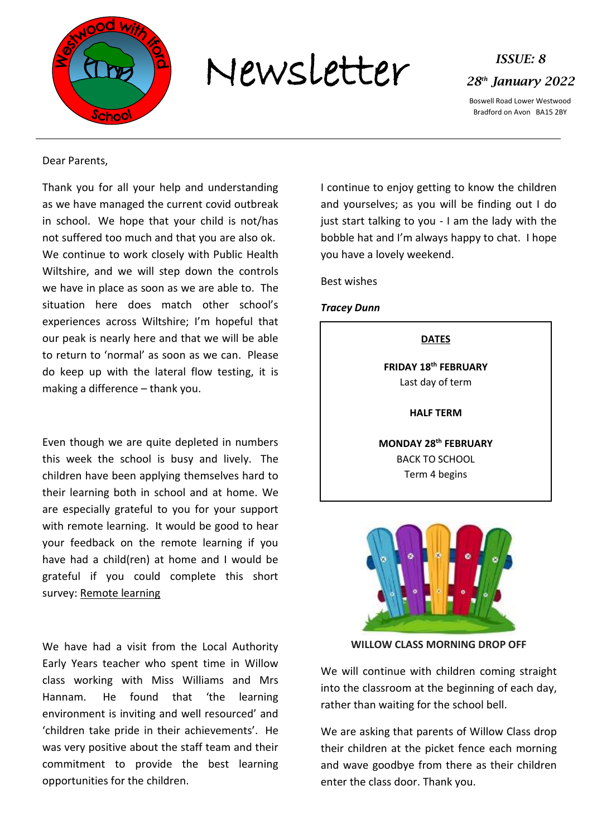

Newsletter *ISSUE: 8*



Boswell Road Lower Westwood Bradford on Avon BA15 2BY

# Dear Parents,

Thank you for all your help and understanding as we have managed the current covid outbreak in school. We hope that your child is not/has not suffered too much and that you are also ok. We continue to work closely with Public Health Wiltshire, and we will step down the controls we have in place as soon as we are able to. The situation here does match other school's experiences across Wiltshire; I'm hopeful that our peak is nearly here and that we will be able to return to 'normal' as soon as we can. Please do keep up with the lateral flow testing, it is making a difference – thank you.

Even though we are quite depleted in numbers this week the school is busy and lively. The children have been applying themselves hard to their learning both in school and at home. We are especially grateful to you for your support with remote learning. It would be good to hear your feedback on the remote learning if you have had a child(ren) at home and I would be grateful if you could complete this short survey: [Remote learning](https://forms.office.com/r/BZ4n8AEG5v)

We have had a visit from the Local Authority Early Years teacher who spent time in Willow class working with Miss Williams and Mrs Hannam. He found that 'the learning environment is inviting and well resourced' and 'children take pride in their achievements'. He was very positive about the staff team and their commitment to provide the best learning opportunities for the children.

I continue to enjoy getting to know the children and yourselves; as you will be finding out I do just start talking to you - I am the lady with the bobble hat and I'm always happy to chat. I hope you have a lovely weekend.

Best wishes

# *Tracey Dunn*

# **DATES**

**FRIDAY 18 th FEBRUARY** Last day of term

**HALF TERM**

**MONDAY 28th FEBRUARY**  BACK TO SCHOOL Term 4 begins



**WILLOW CLASS MORNING DROP OFF**

We will continue with children coming straight into the classroom at the beginning of each day, rather than waiting for the school bell.

We are asking that parents of Willow Class drop their children at the picket fence each morning and wave goodbye from there as their children enter the class door. Thank you.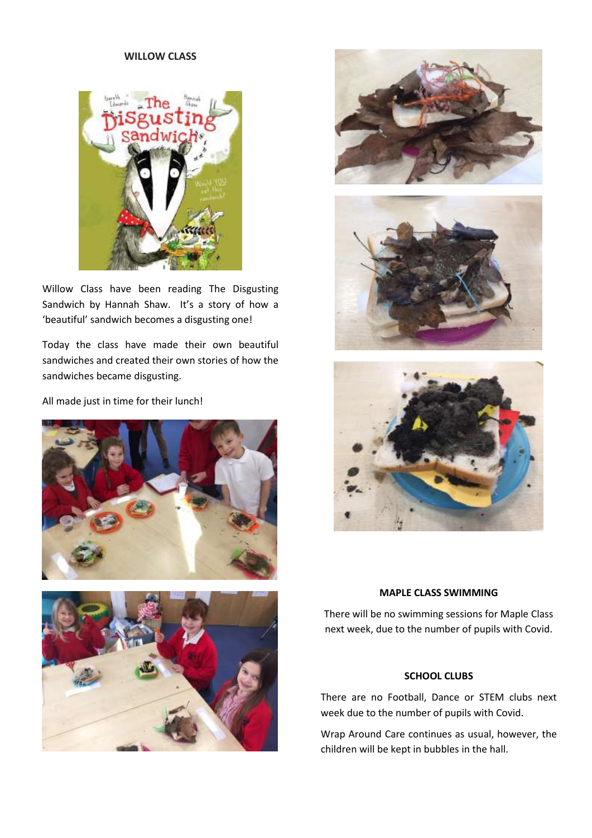# **WILLOW CLASS**



Willow Class have been reading The Disgusting Sandwich by Hannah Shaw. It's a story of how a 'beautiful' sandwich becomes a disgusting one!

Today the class have made their own beautiful sandwiches and created their own stories of how the sandwiches became disgusting.

All made just in time for their lunch!











# **MAPLE CLASS SWIMMING**

There will be no swimming sessions for Maple Class next week, due to the number of pupils with Covid.

# **SCHOOL CLUBS**

There are no Football, Dance or STEM clubs next week due to the number of pupils with Covid.

Wrap Around Care continues as usual, however, the children will be kept in bubbles in the hall.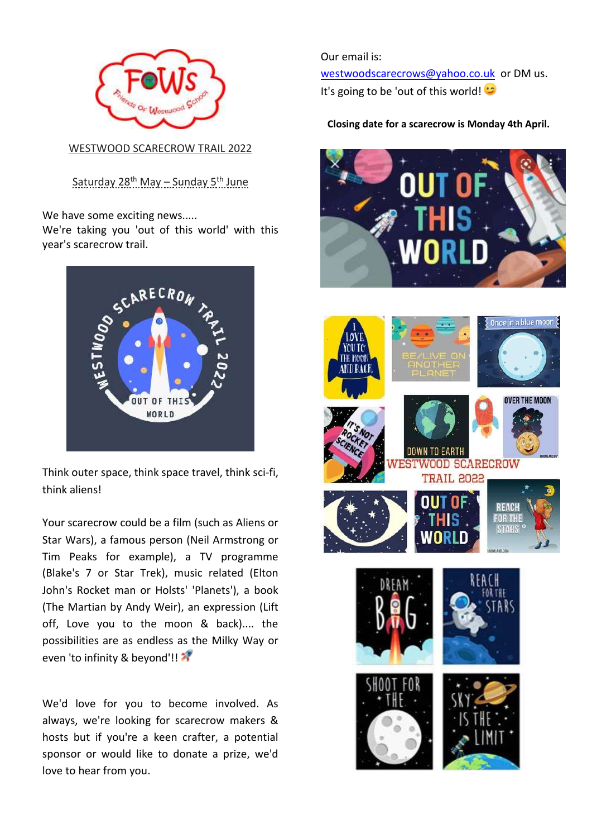

WESTWOOD SCARECROW TRAIL 2022

<u>Saturday 28th May – Sunday 5th June</u>

We have some exciting news.....

We're taking you 'out of this world' with this year's scarecrow trail.



Think outer space, think space travel, think sci-fi, think aliens!

Your scarecrow could be a film (such as Aliens or Star Wars), a famous person (Neil Armstrong or Tim Peaks for example), a TV programme (Blake's 7 or Star Trek), music related (Elton John's Rocket man or Holsts' 'Planets'), a book (The Martian by Andy Weir), an expression (Lift off, Love you to the moon & back).... the possibilities are as endless as the Milky Way or even 'to infinity & beyond'!!

We'd love for you to become involved. As always, we're looking for scarecrow makers & hosts but if you're a keen crafter, a potential sponsor or would like to donate a prize, we'd love to hear from you.

Our email is: [westwoodscarecrows@yahoo.co.uk](mailto:westwoodscarecrows@yahoo.co.uk) or DM us. It's going to be 'out of this world!

# **Closing date for a scarecrow is Monday 4th April.**

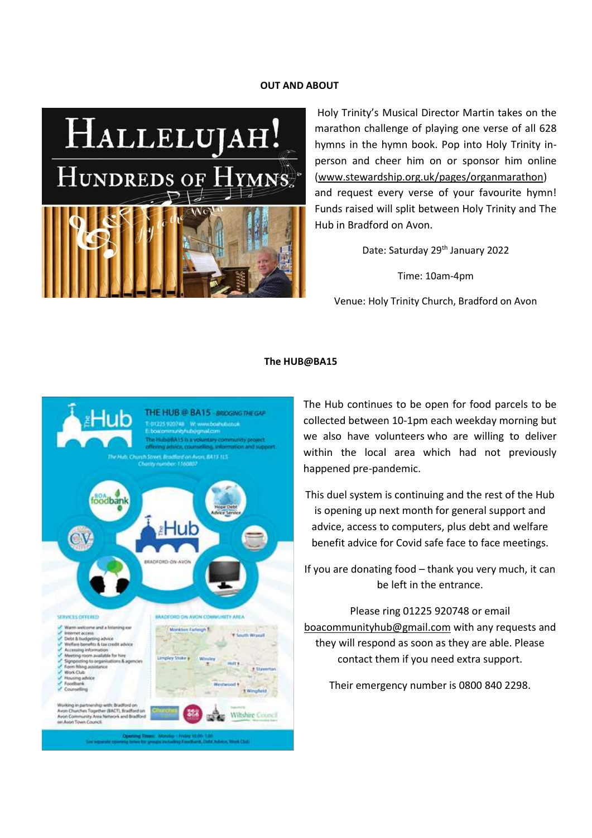### **OUT AND ABOUT**



Holy Trinity's Musical Director Martin takes on the marathon challenge of playing one verse of all 628 hymns in the hymn book. Pop into Holy Trinity inperson and cheer him on or sponsor him online [\(www.stewardship.org.uk/pages/organmarathon\)](http://www.stewardship.org.uk/pages/organmarathon) and request every verse of your favourite hymn! Funds raised will split between Holy Trinity and The Hub in Bradford on Avon.

Date: Saturday 29<sup>th</sup> January 2022

Time: 10am-4pm

Venue: Holy Trinity Church, Bradford on Avon

#### **The HUB@BA15**



The Hub continues to be open for food parcels to be collected between 10-1pm each weekday morning but we also have volunteers who are willing to deliver within the local area which had not previously happened pre-pandemic.

This duel system is continuing and the rest of the Hub is opening up next month for general support and advice, access to computers, plus debt and welfare benefit advice for Covid safe face to face meetings.

If you are donating food – thank you very much, it can be left in the entrance.

Please ring 01225 920748 or email [boacommunityhub@gmail.com](mailto:boacommunityhub@gmail.com) with any requests and they will respond as soon as they are able. Please contact them if you need extra support.

Their emergency number is 0800 840 2298.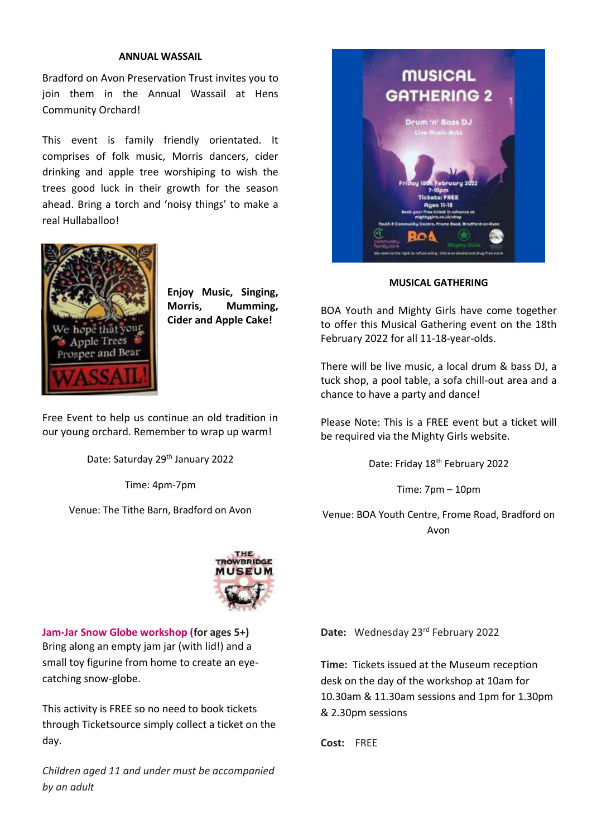# **ANNUAL WASSAIL**

Bradford on Avon Preservation Trust invites you to join them in the Annual Wassail at Hens Community Orchard!

This event is family friendly orientated. It comprises of folk music, Morris dancers, cider drinking and apple tree worshiping to wish the trees good luck in their growth for the season ahead. Bring a torch and 'noisy things' to make a real Hullaballoo!



**Enjoy Music, Singing, Morris, Mumming, Cider and Apple Cake!**

Free Event to help us continue an old tradition in our young orchard. Remember to wrap up warm!

Date: Saturday 29<sup>th</sup> January 2022

Time: 4pm-7pm

Venue: The Tithe Barn, Bradford on Avon



**Jam-Jar Snow Globe workshop (for ages 5+)** Bring along an empty jam jar (with lid!) and a small toy figurine from home to create an eyecatching snow-globe.

This activity is FREE so no need to book tickets through Ticketsource simply collect a ticket on the day.

*Children aged 11 and under must be accompanied by an adult*



**MUSICAL GATHERING**

BOA Youth and Mighty Girls have come together to offer this Musical Gathering event on the 18th February 2022 for all 11-18-year-olds.

There will be live music, a local drum & bass DJ, a tuck shop, a pool table, a sofa chill-out area and a chance to have a party and dance!

Please Note: This is a FREE event but a ticket will be required via the Mighty Girls website.

Date: Friday 18<sup>th</sup> February 2022

Time: 7pm – 10pm

Venue: BOA Youth Centre, Frome Road, Bradford on Avon

Date: Wednesday 23<sup>rd</sup> February 2022

**Time:** Tickets issued at the Museum reception desk on the day of the workshop at 10am for 10.30am & 11.30am sessions and 1pm for 1.30pm & 2.30pm sessions

**Cost:** FREE